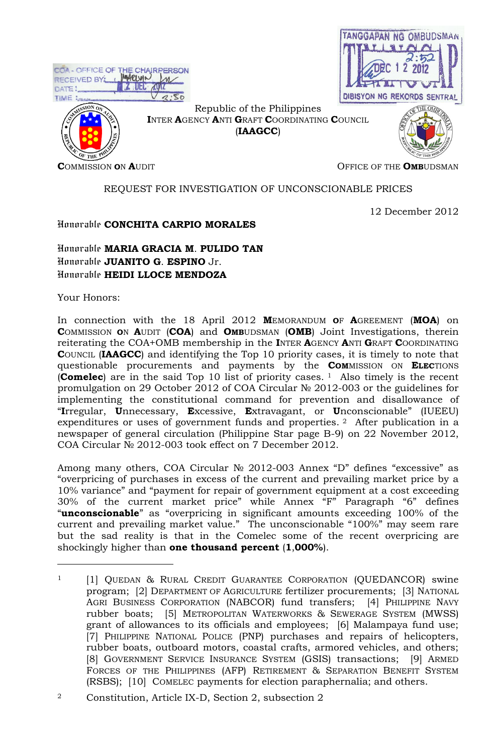|                                                                                         |                                                                                         | TANGGAPAN NG OMBUDSMAN          |
|-----------------------------------------------------------------------------------------|-----------------------------------------------------------------------------------------|---------------------------------|
| COA - OFFICE OF THE CHAIRPERSON<br>RECEIVED BY: : MARUVI<br>DATE:<br>2.50<br>TIME Lange |                                                                                         | DIBISYON NG REKORDS SENTRAL     |
| ন্নু<br>OF THE PL                                                                       | Republic of the Philippines<br>INTER AGENCY ANTI GRAFT COORDINATING COUNCIL<br>(IAAGCC) |                                 |
| <b>COMMISSION ON AUDIT</b>                                                              |                                                                                         | OFFICE OF THE <b>OMB</b> UDSMAN |

# REQUEST FOR INVESTIGATION OF UNCONSCIONABLE PRICES

12 December 2012

# Honorable **CONCHITA CARPIO MORALES**

# Honorable **MARIA GRACIA M**. **PULIDO TAN** Honorable **JUANITO G**. **ESPINO** Jr. Honorable **HEIDI LLOCE MENDOZA**

Your Honors:

 $\overline{a}$ 

In connection with the 18 April 2012 **M**EMORANDUM **O**F **A**GREEMENT (**MOA**) on **C**OMMISSION **O**N **A**UDIT (**COA**) and **OMB**UDSMAN (**OMB**) Joint Investigations, therein reiterating the COA+OMB membership in the **I**NTER **A**GENCY **A**NTI **G**RAFT **C**OORDINATING **C**OUNCIL (**IAAGCC**) and identifying the Top 10 priority cases, it is timely to note that questionable procurements and payments by the **COM**MISSION ON **ELEC**TIONS (**Comelec**) are in the said Top 10 list of priority cases. <sup>1</sup> Also timely is the recent promulgation on 29 October 2012 of COA Circular № 2012-003 or the guidelines for implementing the constitutional command for prevention and disallowance of "**I**rregular, **U**nnecessary, **E**xcessive, **E**xtravagant, or **U**nconscionable" (IUEEU) expenditures or uses of government funds and properties. <sup>2</sup> After publication in a newspaper of general circulation (Philippine Star page B-9) on 22 November 2012, COA Circular № 2012-003 took effect on 7 December 2012.

Among many others, COA Circular № 2012-003 Annex "D" defines "excessive" as "overpricing of purchases in excess of the current and prevailing market price by a 10% variance" and "payment for repair of government equipment at a cost exceeding 30% of the current market price" while Annex "F" Paragraph "6" defines "**unconscionable**" as "overpricing in significant amounts exceeding 100% of the current and prevailing market value." The unconscionable "100%" may seem rare but the sad reality is that in the Comelec some of the recent overpricing are shockingly higher than **one thousand percent** (**1**,**000%**).

<sup>&</sup>lt;sup>1</sup> [1] QUEDAN & RURAL CREDIT GUARANTEE CORPORATION (QUEDANCOR) swine program; [2] DEPARTMENT OF AGRICULTURE fertilizer procurements; [3] NATIONAL AGRI BUSINESS CORPORATION (NABCOR) fund transfers; [4] PHILIPPINE NAVY rubber boats; [5] METROPOLITAN WATERWORKS & SEWERAGE SYSTEM (MWSS) grant of allowances to its officials and employees; [6] Malampaya fund use; [7] PHILIPPINE NATIONAL POLICE (PNP) purchases and repairs of helicopters, rubber boats, outboard motors, coastal crafts, armored vehicles, and others; [8] GOVERNMENT SERVICE INSURANCE SYSTEM (GSIS) transactions; [9] ARMED FORCES OF THE PHILIPPINES (AFP) RETIREMENT & SEPARATION BENEFIT SYSTEM (RSBS); [10] COMELEC payments for election paraphernalia; and others.

<sup>2</sup> Constitution, Article IX-D, Section 2, subsection 2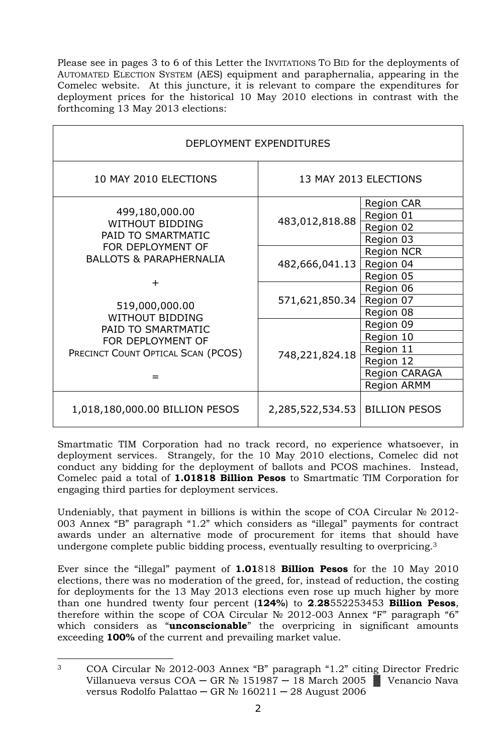Please see in pages 3 to 6 of this Letter the INVITATIONS TO BID for the deployments of AUTOMATED ELECTION SYSTEM (AES) equipment and paraphernalia, appearing in the Comelec website. At this juncture, it is relevant to compare the expenditures for deployment prices for the historical 10 May 2010 elections in contrast with the forthcoming 13 May 2013 elections:

| DEPLOYMENT EXPENDITURES                                                                                                                          |                  |                       |  |  |
|--------------------------------------------------------------------------------------------------------------------------------------------------|------------------|-----------------------|--|--|
| 10 MAY 2010 ELECTIONS                                                                                                                            |                  | 13 MAY 2013 ELECTIONS |  |  |
| 499,180,000.00<br><b>WITHOUT BIDDING</b><br>PAID TO SMARTMATIC<br>FOR DEPLOYMENT OF<br><b>BALLOTS &amp; PARAPHERNALIA</b><br>┿<br>519,000,000.00 | 483,012,818.88   | <b>Region CAR</b>     |  |  |
|                                                                                                                                                  |                  | Region 01             |  |  |
|                                                                                                                                                  |                  | Region 02             |  |  |
|                                                                                                                                                  |                  | Region 03             |  |  |
|                                                                                                                                                  | 482,666,041.13   | <b>Region NCR</b>     |  |  |
|                                                                                                                                                  |                  | Region 04             |  |  |
|                                                                                                                                                  |                  | Region 05             |  |  |
|                                                                                                                                                  | 571,621,850.34   | Region 06             |  |  |
|                                                                                                                                                  |                  | Region 07             |  |  |
| <b>WITHOUT BIDDING</b>                                                                                                                           |                  | Region 08             |  |  |
| PAID TO SMARTMATIC<br>FOR DEPLOYMENT OF<br>PRECINCT COUNT OPTICAL SCAN (PCOS)                                                                    |                  | Region 09             |  |  |
|                                                                                                                                                  |                  | Region 10             |  |  |
|                                                                                                                                                  | 748,221,824.18   | Region 11             |  |  |
|                                                                                                                                                  |                  | Region 12             |  |  |
|                                                                                                                                                  |                  | <b>Region CARAGA</b>  |  |  |
|                                                                                                                                                  |                  | <b>Region ARMM</b>    |  |  |
| 1,018,180,000.00 BILLION PESOS                                                                                                                   | 2,285,522,534.53 | <b>BILLION PESOS</b>  |  |  |

Smartmatic TIM Corporation had no track record, no experience whatsoever, in deployment services. Strangely, for the 10 May 2010 elections, Comelec did not conduct any bidding for the deployment of ballots and PCOS machines. Instead, Comelec paid a total of **1.01818 Billion Pesos** to Smartmatic TIM Corporation for engaging third parties for deployment services.

Undeniably, that payment in billions is within the scope of COA Circular  $N_2$  2012-003 Annex "B" paragraph "1.2" which considers as "illegal" payments for contract awards under an alternative mode of procurement for items that should have undergone complete public bidding process, eventually resulting to overpricing.<sup>3</sup>

Ever since the "illegal" payment of **1.01**818 **Billion Pesos** for the 10 May 2010 elections, there was no moderation of the greed, for, instead of reduction, the costing for deployments for the 13 May 2013 elections even rose up much higher by more than one hundred twenty four percent (**124%**) to **2**.**28**552253453 **Billion Pesos**, therefore within the scope of COA Circular  $N<sub>2</sub>$  2012-003 Annex "F" paragraph "6" which considers as "**unconscionable**" the overpricing in significant amounts exceeding **100%** of the current and prevailing market value.

 $\overline{a}$ <sup>3</sup> COA Circular № 2012-003 Annex "B" paragraph "1.2" citing Director Fredric Villanueva versus COA — GR № 151987 — 18 March 2005  $\frac{36}{28}$  Venancio Nava versus Rodolfo Palattao ─ GR № 160211 ─ 28 August 2006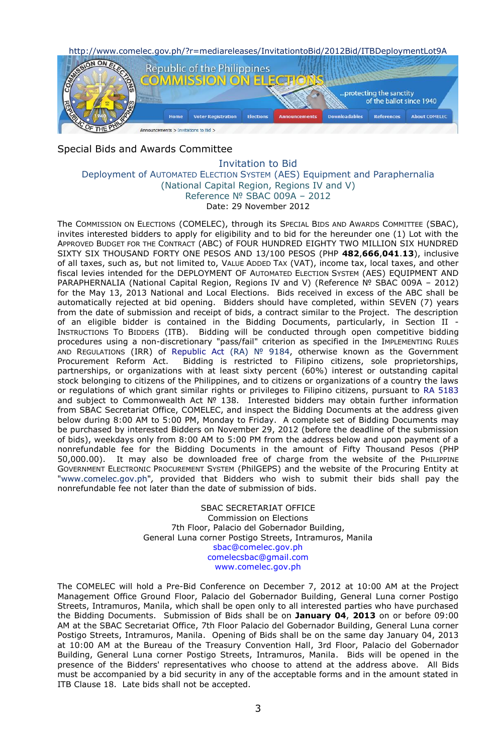http://www.comelec.gov.ph/?r=mediareleases/InvitationtoBid/2012Bid/ITBDeploymentLot9A



## Special Bids and Awards Committee

#### Invitation to Bid Deployment of AUTOMATED ELECTION SYSTEM (AES) Equipment and Paraphernalia (National Capital Region, Regions IV and V) Reference № SBAC 009A – 2012 Date: 29 November 2012

The COMMISSION ON ELECTIONS (COMELEC), through its SPECIAL BIDS AND AWARDS COMMITTEE (SBAC), invites interested bidders to apply for eligibility and to bid for the hereunder one (1) Lot with the APPROVED BUDGET FOR THE CONTRACT (ABC) of FOUR HUNDRED EIGHTY TWO MILLION SIX HUNDRED SIXTY SIX THOUSAND FORTY ONE PESOS AND 13/100 PESOS (PHP **482**,**666**,**041**.**13**), inclusive of all taxes, such as, but not limited to, VALUE ADDED TAX (VAT), income tax, local taxes, and other fiscal levies intended for the DEPLOYMENT OF AUTOMATED ELECTION SYSTEM (AES) EQUIPMENT AND PARAPHERNALIA (National Capital Region, Regions IV and V) (Reference Nº SBAC 009A - 2012) for the May 13, 2013 National and Local Elections. Bids received in excess of the ABC shall be automatically rejected at bid opening. Bidders should have completed, within SEVEN (7) years from the date of submission and receipt of bids, a contract similar to the Project. The description of an eligible bidder is contained in the Bidding Documents, particularly, in Section II - INSTRUCTIONS TO BIDDERS (ITB). Bidding will be conducted through open competitive bidding procedures using a non-discretionary "pass/fail" criterion as specified in the IMPLEMENTING RULES AND REGULATIONS (IRR) of [Republic Act \(RA\)](http://www.comelec.gov.ph/?r=laws/RepublicActs/RA9184TOC) № 9184, otherwise known as the Government Procurement Reform Act. Bidding is restricted to Filipino citizens, sole proprietorships, partnerships, or organizations with at least sixty percent (60%) interest or outstanding capital stock belonging to citizens of the Philippines, and to citizens or organizations of a country the laws or regulations of which grant similar rights or privileges to Filipino citizens, pursuant to [RA 5183](http://www.comelec.gov.ph/?r=laws/RepublicActs/RA5183) and subject to Commonwealth Act № 138. Interested bidders may obtain further information from SBAC Secretariat Office, COMELEC, and inspect the Bidding Documents at the address given below during 8:00 AM to 5:00 PM, Monday to Friday. A complete set of Bidding Documents may be purchased by interested Bidders on November 29, 2012 (before the deadline of the submission of bids), weekdays only from 8:00 AM to 5:00 PM from the address below and upon payment of a nonrefundable fee for the Bidding Documents in the amount of Fifty Thousand Pesos (PHP 50,000.00). It may also be downloaded free of charge from the website of the PHILIPPINE GOVERNMENT ELECTRONIC PROCUREMENT SYSTEM (PhilGEPS) and the website of the Procuring Entity at "www.comelec.gov.ph"*,* provided that Bidders who wish to submit their bids shall pay the nonrefundable fee not later than the date of submission of bids.

> SBAC SECRETARIAT OFFICE Commission on Elections 7th Floor, Palacio del Gobernador Building, General Luna corner Postigo Streets, Intramuros, Manila [sbac@comelec.gov.ph](mailto:sbac@comelec.gov.ph) [comelecsbac@gmail.com](mailto:comelecsbac@gmail.com) [www.comelec.gov.ph](http://www.comelec.gov.ph/)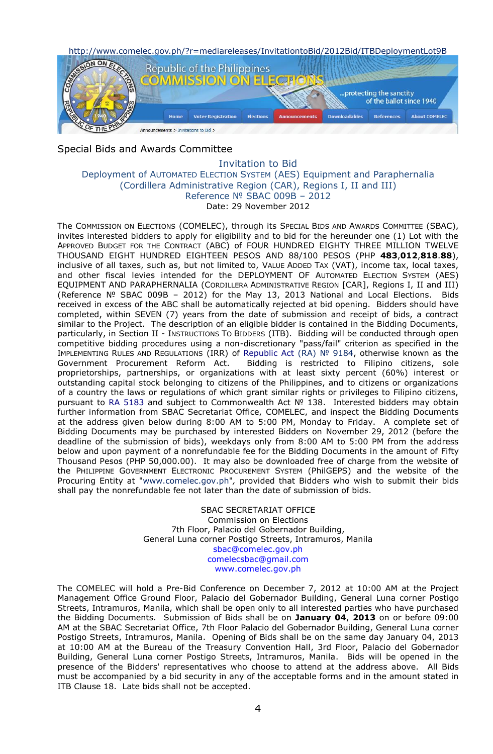http://www.comelec.gov.ph/?r=mediareleases/InvitationtoBid/2012Bid/ITBDeploymentLot9B



## Special Bids and Awards Committee

#### Invitation to Bid Deployment of AUTOMATED ELECTION SYSTEM (AES) Equipment and Paraphernalia (Cordillera Administrative Region (CAR), Regions I, II and III) Reference № SBAC 009B – 2012 Date: 29 November 2012

The COMMISSION ON ELECTIONS (COMELEC), through its SPECIAL BIDS AND AWARDS COMMITTEE (SBAC), invites interested bidders to apply for eligibility and to bid for the hereunder one (1) Lot with the APPROVED BUDGET FOR THE CONTRACT (ABC) of FOUR HUNDRED EIGHTY THREE MILLION TWELVE THOUSAND EIGHT HUNDRED EIGHTEEN PESOS AND 88/100 PESOS (PHP **483**,**012**,**818**.**88**), inclusive of all taxes, such as, but not limited to, VALUE ADDED TAX (VAT), income tax, local taxes, and other fiscal levies intended for the DEPLOYMENT OF AUTOMATED ELECTION SYSTEM (AES) EQUIPMENT AND PARAPHERNALIA (CORDILLERA ADMINISTRATIVE REGION [CAR], Regions I, II and III) (Reference № SBAC 009B – 2012) for the May 13, 2013 National and Local Elections. Bids received in excess of the ABC shall be automatically rejected at bid opening. Bidders should have completed, within SEVEN (7) years from the date of submission and receipt of bids, a contract similar to the Project. The description of an eligible bidder is contained in the Bidding Documents, particularly, in Section II - INSTRUCTIONS TO BIDDERS (ITB). Bidding will be conducted through open competitive bidding procedures using a non-discretionary "pass/fail" criterion as specified in the IMPLEMENTING RULES AND REGULATIONS (IRR) of [Republic Act \(RA\)](http://www.comelec.gov.ph/?r=laws/RepublicActs/RA9184TOC) № 9184, otherwise known as the Government Procurement Reform Act. Bidding is restricted to Filipino citizens, sole proprietorships, partnerships, or organizations with at least sixty percent (60%) interest or outstanding capital stock belonging to citizens of the Philippines, and to citizens or organizations of a country the laws or regulations of which grant similar rights or privileges to Filipino citizens, pursuant to [RA 5183](http://www.comelec.gov.ph/?r=laws/RepublicActs/RA5183) and subject to Commonwealth Act № 138. Interested bidders may obtain further information from SBAC Secretariat Office, COMELEC, and inspect the Bidding Documents at the address given below during 8:00 AM to 5:00 PM, Monday to Friday. A complete set of Bidding Documents may be purchased by interested Bidders on November 29, 2012 (before the deadline of the submission of bids), weekdays only from 8:00 AM to 5:00 PM from the address below and upon payment of a nonrefundable fee for the Bidding Documents in the amount of Fifty Thousand Pesos (PHP 50,000.00). It may also be downloaded free of charge from the website of the PHILIPPINE GOVERNMENT ELECTRONIC PROCUREMENT SYSTEM (PhilGEPS) and the website of the Procuring Entity at "www.comelec.gov.ph"*,* provided that Bidders who wish to submit their bids shall pay the nonrefundable fee not later than the date of submission of bids.

> SBAC SECRETARIAT OFFICE Commission on Elections 7th Floor, Palacio del Gobernador Building, General Luna corner Postigo Streets, Intramuros, Manila [sbac@comelec.gov.ph](mailto:sbac@comelec.gov.ph) [comelecsbac@gmail.com](mailto:comelecsbac@gmail.com) [www.comelec.gov.ph](http://www.comelec.gov.ph/)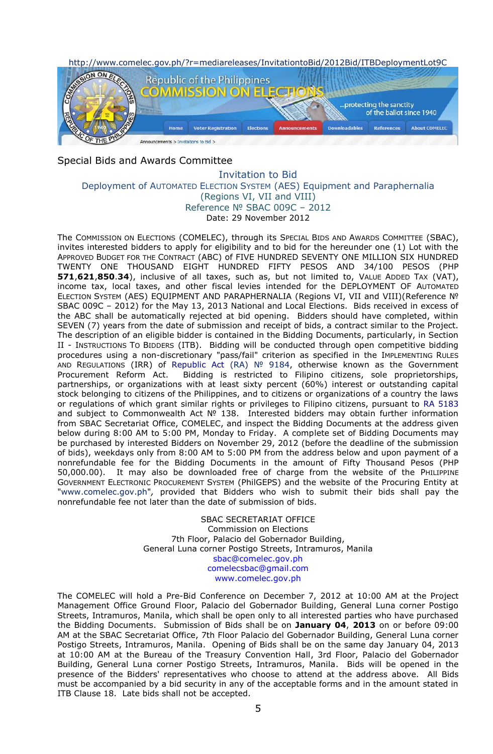

# Special Bids and Awards Committee

#### Invitation to Bid Deployment of AUTOMATED ELECTION SYSTEM (AES) Equipment and Paraphernalia (Regions VI, VII and VIII) Reference № SBAC 009C – 2012 Date: 29 November 2012

The COMMISSION ON ELECTIONS (COMELEC), through its SPECIAL BIDS AND AWARDS COMMITTEE (SBAC), invites interested bidders to apply for eligibility and to bid for the hereunder one (1) Lot with the APPROVED BUDGET FOR THE CONTRACT (ABC) of FIVE HUNDRED SEVENTY ONE MILLION SIX HUNDRED TWENTY ONE THOUSAND EIGHT HUNDRED FIFTY PESOS AND 34/100 PESOS (PHP **571**,**621**,**850**.**34**), inclusive of all taxes, such as, but not limited to, VALUE ADDED TAX (VAT), income tax, local taxes, and other fiscal levies intended for the DEPLOYMENT OF AUTOMATED ELECTION SYSTEM (AES) EQUIPMENT AND PARAPHERNALIA (Regions VI, VII and VIII)(Reference № SBAC 009C – 2012) for the May 13, 2013 National and Local Elections. Bids received in excess of the ABC shall be automatically rejected at bid opening. Bidders should have completed, within SEVEN (7) years from the date of submission and receipt of bids, a contract similar to the Project. The description of an eligible bidder is contained in the Bidding Documents, particularly, in Section II - INSTRUCTIONS TO BIDDERS (ITB). Bidding will be conducted through open competitive bidding procedures using a non-discretionary "pass/fail" criterion as specified in the IMPLEMENTING RULES AND REGULATIONS (IRR) of [Republic Act \(RA\)](http://www.comelec.gov.ph/?r=laws/RepublicActs/RA9184TOC) № 9184, otherwise known as the Government Procurement Reform Act. Bidding is restricted to Filipino citizens, sole proprietorships, partnerships, or organizations with at least sixty percent (60%) interest or outstanding capital stock belonging to citizens of the Philippines, and to citizens or organizations of a country the laws or regulations of which grant similar rights or privileges to Filipino citizens, pursuant to [RA 5183](http://www.comelec.gov.ph/?r=laws/RepublicActs/RA5183) and subject to Commonwealth Act № 138. Interested bidders may obtain further information from SBAC Secretariat Office, COMELEC, and inspect the Bidding Documents at the address given below during 8:00 AM to 5:00 PM, Monday to Friday. A complete set of Bidding Documents may be purchased by interested Bidders on November 29, 2012 (before the deadline of the submission of bids), weekdays only from 8:00 AM to 5:00 PM from the address below and upon payment of a nonrefundable fee for the Bidding Documents in the amount of Fifty Thousand Pesos (PHP 50,000.00). It may also be downloaded free of charge from the website of the PHILIPPINE GOVERNMENT ELECTRONIC PROCUREMENT SYSTEM (PhilGEPS) and the website of the Procuring Entity at "www.comelec.gov.ph"*,* provided that Bidders who wish to submit their bids shall pay the nonrefundable fee not later than the date of submission of bids.

> SBAC SECRETARIAT OFFICE Commission on Elections 7th Floor, Palacio del Gobernador Building, General Luna corner Postigo Streets, Intramuros, Manila [sbac@comelec.gov.ph](mailto:sbac@comelec.gov.ph) [comelecsbac@gmail.com](mailto:comelecsbac@gmail.com) [www.comelec.gov.ph](http://www.comelec.gov.ph/)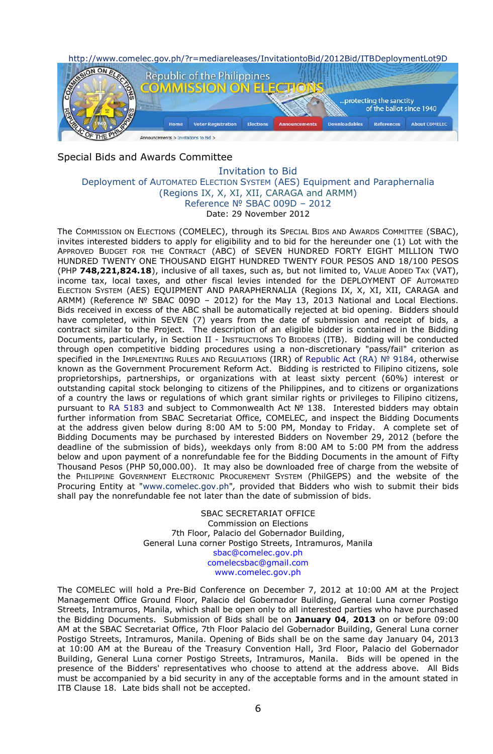

# Special Bids and Awards Committee

#### Invitation to Bid Deployment of AUTOMATED ELECTION SYSTEM (AES) Equipment and Paraphernalia (Regions IX, X, XI, XII, CARAGA and ARMM) Reference № SBAC 009D – 2012 Date: 29 November 2012

The COMMISSION ON ELECTIONS (COMELEC), through its SPECIAL BIDS AND AWARDS COMMITTEE (SBAC), invites interested bidders to apply for eligibility and to bid for the hereunder one (1) Lot with the APPROVED BUDGET FOR THE CONTRACT (ABC) of SEVEN HUNDRED FORTY EIGHT MILLION TWO HUNDRED TWENTY ONE THOUSAND EIGHT HUNDRED TWENTY FOUR PESOS AND 18/100 PESOS (PHP **748,221,824.18**), inclusive of all taxes, such as, but not limited to, VALUE ADDED TAX (VAT), income tax, local taxes, and other fiscal levies intended for the DEPLOYMENT OF AUTOMATED ELECTION SYSTEM (AES) EQUIPMENT AND PARAPHERNALIA (Regions IX, X, XI, XII, CARAGA and ARMM) (Reference Nº SBAC 009D - 2012) for the May 13, 2013 National and Local Elections. Bids received in excess of the ABC shall be automatically rejected at bid opening. Bidders should have completed, within SEVEN (7) years from the date of submission and receipt of bids, a contract similar to the Project. The description of an eligible bidder is contained in the Bidding Documents, particularly, in Section II - INSTRUCTIONS TO BIDDERS (ITB). Bidding will be conducted through open competitive bidding procedures using a non-discretionary "pass/fail" criterion as specified in the IMPLEMENTING RULES AND REGULATIONS (IRR) of [Republic Act \(RA\)](http://www.comelec.gov.ph/?r=laws/RepublicActs/RA9184TOC) Nº 9184, otherwise known as the Government Procurement Reform Act. Bidding is restricted to Filipino citizens, sole proprietorships, partnerships, or organizations with at least sixty percent (60%) interest or outstanding capital stock belonging to citizens of the Philippines, and to citizens or organizations of a country the laws or regulations of which grant similar rights or privileges to Filipino citizens, pursuant to [RA 5183](http://www.comelec.gov.ph/?r=laws/RepublicActs/RA5183) and subject to Commonwealth Act Nº 138. Interested bidders may obtain further information from SBAC Secretariat Office, COMELEC, and inspect the Bidding Documents at the address given below during 8:00 AM to 5:00 PM, Monday to Friday. A complete set of Bidding Documents may be purchased by interested Bidders on November 29, 2012 (before the deadline of the submission of bids), weekdays only from 8:00 AM to 5:00 PM from the address below and upon payment of a nonrefundable fee for the Bidding Documents in the amount of Fifty Thousand Pesos (PHP 50,000.00). It may also be downloaded free of charge from the website of the PHILIPPINE GOVERNMENT ELECTRONIC PROCUREMENT SYSTEM (PhilGEPS) and the website of the Procuring Entity at "www.comelec.gov.ph"*,* provided that Bidders who wish to submit their bids shall pay the nonrefundable fee not later than the date of submission of bids.

> SBAC SECRETARIAT OFFICE Commission on Elections 7th Floor, Palacio del Gobernador Building, General Luna corner Postigo Streets, Intramuros, Manila [sbac@comelec.gov.ph](mailto:sbac@comelec.gov.ph) [comelecsbac@gmail.com](mailto:comelecsbac@gmail.com) [www.comelec.gov.ph](http://www.comelec.gov.ph/)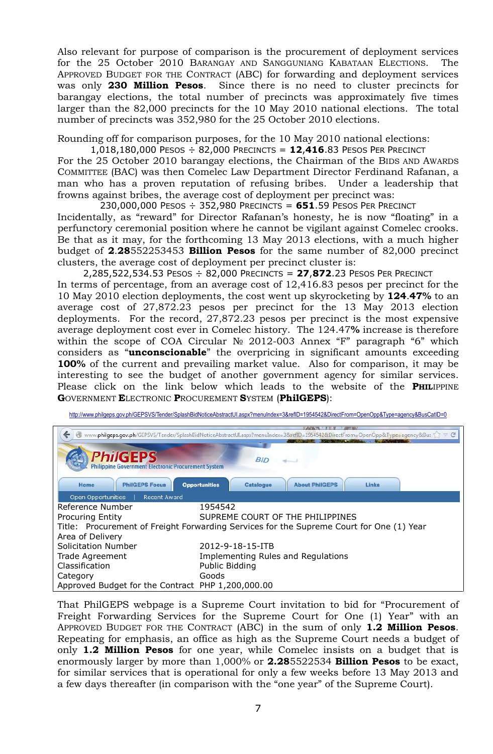Also relevant for purpose of comparison is the procurement of deployment services for the 25 October 2010 BARANGAY AND SANGGUNIANG KABATAAN ELECTIONS. The APPROVED BUDGET FOR THE CONTRACT (ABC) for forwarding and deployment services was only **230 Million Pesos**. Since there is no need to cluster precincts for barangay elections, the total number of precincts was approximately five times larger than the 82,000 precincts for the 10 May 2010 national elections. The total number of precincts was 352,980 for the 25 October 2010 elections.

Rounding off for comparison purposes, for the 10 May 2010 national elections:

1,018,180,000 PESOS ÷ 82,000 PRECINCTS = **12**,**416**.83 PESOS PER PRECINCT

For the 25 October 2010 barangay elections, the Chairman of the BIDS AND AWARDS COMMITTEE (BAC) was then Comelec Law Department Director Ferdinand Rafanan, a man who has a proven reputation of refusing bribes. Under a leadership that frowns against bribes, the average cost of deployment per precinct was:

230,000,000 PESOS ÷ 352,980 PRECINCTS = **651**.59 PESOS PER PRECINCT Incidentally, as "reward" for Director Rafanan's honesty, he is now "floating" in a perfunctory ceremonial position where he cannot be vigilant against Comelec crooks. Be that as it may, for the forthcoming 13 May 2013 elections, with a much higher budget of **2**.**28**552253453 **Billion Pesos** for the same number of 82,000 precinct clusters, the average cost of deployment per precinct cluster is:

2,285,522,534.53 PESOS ÷ 82,000 PRECINCTS = **27**,**872**.23 PESOS PER PRECINCT In terms of percentage, from an average cost of 12,416.83 pesos per precinct for the 10 May 2010 election deployments, the cost went up skyrocketing by **124**.**47%** to an average cost of 27,872.23 pesos per precinct for the 13 May 2013 election deployments. For the record, 27,872.23 pesos per precinct is the most expensive average deployment cost ever in Comelec history. The 124.47**%** increase is therefore within the scope of COA Circular № 2012-003 Annex "F" paragraph "6" which considers as "**unconscionable**" the overpricing in significant amounts exceeding **100%** of the current and prevailing market value. Also for comparison, it may be interesting to see the budget of another government agency for similar services. Please click on the link below which leads to the website of the **PHIL**IPPINE **G**OVERNMENT **E**LECTRONIC **P**ROCUREMENT **S**YSTEM (**PhilGEPS**):

| http://www.philgeps.gov.ph/GEPSVS/Tender/SplashBidNoticeAbstractUI.aspx?menuIndex=3&refID=1954542&DirectFrom=OpenOpp&Type=agency&BusCatID=0 |
|---------------------------------------------------------------------------------------------------------------------------------------------|
|                                                                                                                                             |

| www.philgeps.gov.ph/GEPSVS/Tender/SplashBidNoticeAbstractUI.aspx?menuIndex=3&refID=1954542&DirectFrom=OpenOpp&Type=agency&Bus <>><br>← |                                                                            |  |  |  |
|----------------------------------------------------------------------------------------------------------------------------------------|----------------------------------------------------------------------------|--|--|--|
|                                                                                                                                        |                                                                            |  |  |  |
| <b>PhilGEPS</b><br><b>Philippine Government Electronic Procurement System</b>                                                          | <b>BID</b>                                                                 |  |  |  |
| <b>PhilGEPS Focus</b><br>Home                                                                                                          | <b>Opportunities</b><br><b>Catalogue</b><br>Links<br><b>About PhilGEPS</b> |  |  |  |
| Open Opportunities<br><b>Recent Award</b>                                                                                              |                                                                            |  |  |  |
| Reference Number                                                                                                                       | 1954542                                                                    |  |  |  |
| <b>Procuring Entity</b>                                                                                                                | SUPREME COURT OF THE PHILIPPINES                                           |  |  |  |
| Title: Procurement of Freight Forwarding Services for the Supreme Court for One (1) Year                                               |                                                                            |  |  |  |
| Area of Delivery                                                                                                                       |                                                                            |  |  |  |
| Solicitation Number                                                                                                                    | 2012-9-18-15-ITB                                                           |  |  |  |
| <b>Trade Agreement</b>                                                                                                                 | Implementing Rules and Regulations                                         |  |  |  |
| Classification                                                                                                                         | Public Bidding                                                             |  |  |  |
| Category                                                                                                                               | Goods                                                                      |  |  |  |
| Approved Budget for the Contract PHP 1,200,000.00                                                                                      |                                                                            |  |  |  |

That PhilGEPS webpage is a Supreme Court invitation to bid for "Procurement of Freight Forwarding Services for the Supreme Court for One (1) Year" with an APPROVED BUDGET FOR THE CONTRACT (ABC) in the sum of only **1.2 Million Pesos**. Repeating for emphasis, an office as high as the Supreme Court needs a budget of only **1.2 Million Pesos** for one year, while Comelec insists on a budget that is enormously larger by more than 1,000% or **2.28**5522534 **Billion Pesos** to be exact, for similar services that is operational for only a few weeks before 13 May 2013 and a few days thereafter (in comparison with the "one year" of the Supreme Court).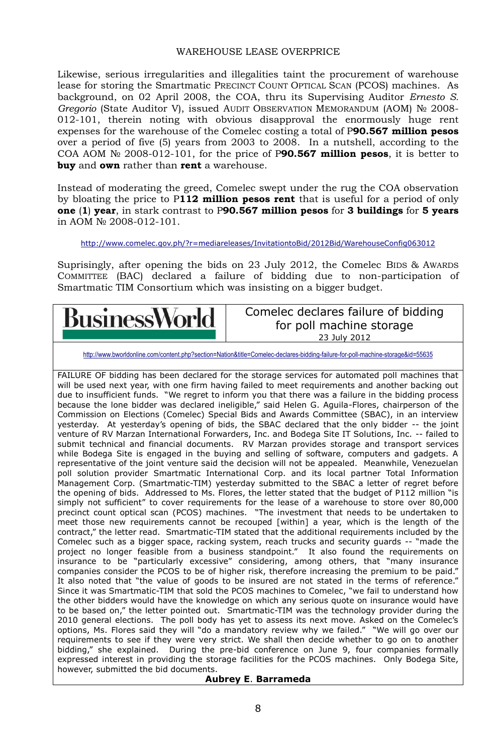# WAREHOUSE LEASE OVERPRICE

Likewise, serious irregularities and illegalities taint the procurement of warehouse lease for storing the Smartmatic PRECINCT COUNT OPTICAL SCAN (PCOS) machines. As background, on 02 April 2008, the COA, thru its Supervising Auditor *Ernesto S. Gregorio* (State Auditor V), issued AUDIT OBSERVATION MEMORANDUM (AOM) № 2008- 012-101, therein noting with obvious disapproval the enormously huge rent expenses for the warehouse of the Comelec costing a total of P**90.567 million pesos** over a period of five (5) years from 2003 to 2008. In a nutshell, according to the COA AOM № 2008-012-101, for the price of P**90.567 million pesos**, it is better to **buy** and **own** rather than **rent** a warehouse.

Instead of moderating the greed, Comelec swept under the rug the COA observation by bloating the price to P**112 million pesos rent** that is useful for a period of only **one** (**1**) **year**, in stark contrast to P**90.567 million pesos** for **3 buildings** for **5 years** in AOM № 2008-012-101.

#### <http://www.comelec.gov.ph/?r=mediareleases/InvitationtoBid/2012Bid/WarehouseConfig063012>

Suprisingly, after opening the bids on 23 July 2012, the Comelec BIDS & AWARDS COMMITTEE (BAC) declared a failure of bidding due to non-participation of Smartmatic TIM Consortium which was insisting on a bigger budget.

# BusinessWorld

Comelec declares failure of bidding for poll machine storage 23 July 2012

<http://www.bworldonline.com/content.php?section=Nation&title=Comelec-declares-bidding-failure-for-poll-machine-storage&id=55635>

FAILURE OF bidding has been declared for the storage services for automated poll machines that will be used next year, with one firm having failed to meet requirements and another backing out due to insufficient funds. "We regret to inform you that there was a failure in the bidding process because the lone bidder was declared ineligible," said Helen G. Aguila-Flores, chairperson of the Commission on Elections (Comelec) Special Bids and Awards Committee (SBAC), in an interview yesterday. At yesterday's opening of bids, the SBAC declared that the only bidder -- the joint venture of RV Marzan International Forwarders, Inc. and Bodega Site IT Solutions, Inc. -- failed to submit technical and financial documents. RV Marzan provides storage and transport services while Bodega Site is engaged in the buying and selling of software, computers and gadgets. A representative of the joint venture said the decision will not be appealed. Meanwhile, Venezuelan poll solution provider Smartmatic International Corp. and its local partner Total Information Management Corp. (Smartmatic-TIM) yesterday submitted to the SBAC a letter of regret before the opening of bids. Addressed to Ms. Flores, the letter stated that the budget of P112 million "is simply not sufficient" to cover requirements for the lease of a warehouse to store over 80,000 precinct count optical scan (PCOS) machines. "The investment that needs to be undertaken to meet those new requirements cannot be recouped [within] a year, which is the length of the contract," the letter read. Smartmatic-TIM stated that the additional requirements included by the Comelec such as a bigger space, racking system, reach trucks and security guards -- "made the project no longer feasible from a business standpoint." It also found the requirements on insurance to be "particularly excessive" considering, among others, that "many insurance companies consider the PCOS to be of higher risk, therefore increasing the premium to be paid." It also noted that "the value of goods to be insured are not stated in the terms of reference." Since it was Smartmatic-TIM that sold the PCOS machines to Comelec, "we fail to understand how the other bidders would have the knowledge on which any serious quote on insurance would have to be based on," the letter pointed out. Smartmatic-TIM was the technology provider during the 2010 general elections. The poll body has yet to assess its next move. Asked on the Comelec's options, Ms. Flores said they will "do a mandatory review why we failed." "We will go over our requirements to see if they were very strict. We shall then decide whether to go on to another bidding," she explained. During the pre-bid conference on June 9, four companies formally expressed interest in providing the storage facilities for the PCOS machines. Only Bodega Site, however, submitted the bid documents.

## **Aubrey E**. **Barrameda**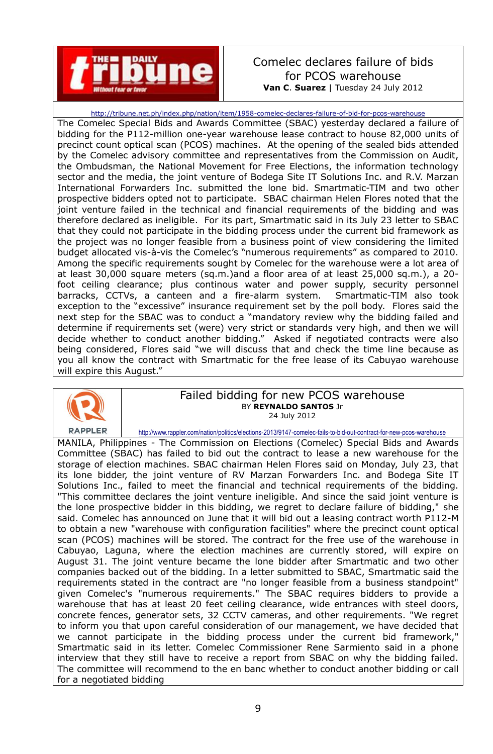![](_page_8_Picture_0.jpeg)

# Comelec declares failure of bids for PCOS warehouse **Van C**. **Suarez** | Tuesday 24 July 2012

<http://tribune.net.ph/index.php/nation/item/1958-comelec-declares-failure-of-bid-for-pcos-warehouse> The Comelec Special Bids and Awards Committee (SBAC) yesterday declared a failure of bidding for the P112-million one-year warehouse lease contract to house 82,000 units of precinct count optical scan (PCOS) machines. At the opening of the sealed bids attended by the Comelec advisory committee and representatives from the Commission on Audit, the Ombudsman, the National Movement for Free Elections, the information technology sector and the media, the joint venture of Bodega Site IT Solutions Inc. and R.V. Marzan International Forwarders Inc. submitted the lone bid. Smartmatic-TIM and two other prospective bidders opted not to participate. SBAC chairman Helen Flores noted that the joint venture failed in the technical and financial requirements of the bidding and was therefore declared as ineligible. For its part, Smartmatic said in its July 23 letter to SBAC that they could not participate in the bidding process under the current bid framework as the project was no longer feasible from a business point of view considering the limited budget allocated vis-à-vis the Comelec's "numerous requirements" as compared to 2010. Among the specific requirements sought by Comelec for the warehouse were a lot area of at least 30,000 square meters (sq.m.)and a floor area of at least 25,000 sq.m.), a 20 foot ceiling clearance; plus continous water and power supply, security personnel barracks, CCTVs, a canteen and a fire-alarm system. Smartmatic-TIM also took exception to the "excessive" insurance requirement set by the poll body. Flores said the next step for the SBAC was to conduct a "mandatory review why the bidding failed and determine if requirements set (were) very strict or standards very high, and then we will decide whether to conduct another bidding." Asked if negotiated contracts were also being considered, Flores said "we will discuss that and check the time line because as you all know the contract with Smartmatic for the free lease of its Cabuyao warehouse will expire this August."

![](_page_8_Picture_3.jpeg)

#### Failed bidding for new PCOS warehouse BY **REYNALDO SANTOS** Jr 24 July 2012

<http://www.rappler.com/nation/politics/elections-2013/9147-comelec-fails-to-bid-out-contract-for-new-pcos-warehouse>

MANILA, Philippines - The Commission on Elections (Comelec) Special Bids and Awards Committee (SBAC) has failed to bid out the contract to lease a new warehouse for the storage of election machines. SBAC chairman Helen Flores said on Monday, July 23, that its lone bidder, the joint venture of RV Marzan Forwarders Inc. and Bodega Site IT Solutions Inc., failed to meet the financial and technical requirements of the bidding. "This committee declares the joint venture ineligible. And since the said joint venture is the lone prospective bidder in this bidding, we regret to declare failure of bidding," she said. Comelec has announced on June that it will bid out a leasing contract worth P112-M to obtain a new "warehouse with configuration facilities" where the precinct count optical scan (PCOS) machines will be stored. The contract for the free use of the warehouse in Cabuyao, Laguna, where the election machines are currently stored, will expire on August 31. The joint venture became the lone bidder after Smartmatic and two other companies backed out of the bidding. In a letter submitted to SBAC, Smartmatic said the requirements stated in the contract are "no longer feasible from a business standpoint" given Comelec's "numerous requirements." The SBAC requires bidders to provide a warehouse that has at least 20 feet ceiling clearance, wide entrances with steel doors, concrete fences, generator sets, 32 CCTV cameras, and other requirements. "We regret to inform you that upon careful consideration of our management, we have decided that we cannot participate in the bidding process under the current bid framework," Smartmatic said in its letter. Comelec Commissioner Rene Sarmiento said in a phone interview that they still have to receive a report from SBAC on why the bidding failed. The committee will recommend to the en banc whether to conduct another bidding or call for a negotiated bidding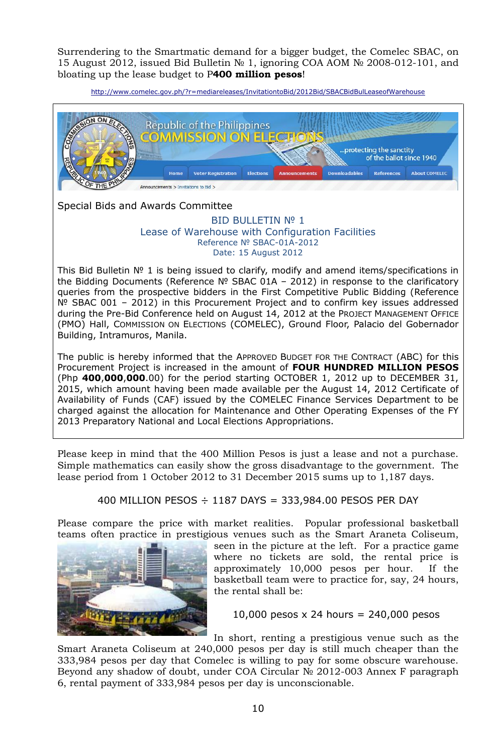Surrendering to the Smartmatic demand for a bigger budget, the Comelec SBAC, on 15 August 2012, issued Bid Bulletin № 1, ignoring COA AOM № 2008-012-101, and bloating up the lease budget to P**400 million pesos**!

<http://www.comelec.gov.ph/?r=mediareleases/InvitationtoBid/2012Bid/SBACBidBulLeaseofWarehouse>

![](_page_9_Picture_2.jpeg)

Special Bids and Awards Committee

#### BID BULLETIN Nº 1 Lease of Warehouse with Configuration Facilities Reference № SBAC-01A-2012 Date: 15 August 2012

This Bid Bulletin № 1 is being issued to clarify, modify and amend items/specifications in the Bidding Documents (Reference № SBAC 01A – 2012) in response to the clarificatory queries from the prospective bidders in the First Competitive Public Bidding (Reference Nº SBAC 001 − 2012) in this Procurement Project and to confirm key issues addressed during the Pre-Bid Conference held on August 14, 2012 at the PROJECT MANAGEMENT OFFICE (PMO) Hall, COMMISSION ON ELECTIONS (COMELEC), Ground Floor, Palacio del Gobernador Building, Intramuros, Manila.

The public is hereby informed that the APPROVED BUDGET FOR THE CONTRACT (ABC) for this Procurement Project is increased in the amount of **FOUR HUNDRED MILLION PESOS** (Php **400**,**000**,**000**.00) for the period starting OCTOBER 1, 2012 up to DECEMBER 31, 2015, which amount having been made available per the August 14, 2012 Certificate of Availability of Funds (CAF) issued by the COMELEC Finance Services Department to be charged against the allocation for Maintenance and Other Operating Expenses of the FY 2013 Preparatory National and Local Elections Appropriations.

Please keep in mind that the 400 Million Pesos is just a lease and not a purchase. Simple mathematics can easily show the gross disadvantage to the government. The lease period from 1 October 2012 to 31 December 2015 sums up to 1,187 days.

## 400 MILLION PESOS ÷ 1187 DAYS = 333,984.00 PESOS PER DAY

Please compare the price with market realities. Popular professional basketball teams often practice in prestigious venues such as the Smart Araneta Coliseum,

![](_page_9_Picture_10.jpeg)

seen in the picture at the left. For a practice game where no tickets are sold, the rental price is approximately 10,000 pesos per hour. If the basketball team were to practice for, say, 24 hours, the rental shall be:

10,000 pesos  $x$  24 hours = 240,000 pesos

In short, renting a prestigious venue such as the Smart Araneta Coliseum at 240,000 pesos per day is still much cheaper than the 333,984 pesos per day that Comelec is willing to pay for some obscure warehouse. Beyond any shadow of doubt, under COA Circular № 2012-003 Annex F paragraph 6, rental payment of 333,984 pesos per day is unconscionable.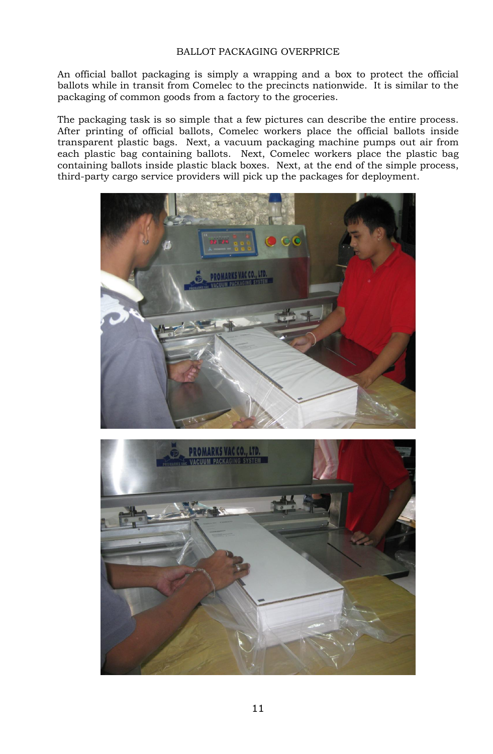# BALLOT PACKAGING OVERPRICE

An official ballot packaging is simply a wrapping and a box to protect the official ballots while in transit from Comelec to the precincts nationwide. It is similar to the packaging of common goods from a factory to the groceries.

The packaging task is so simple that a few pictures can describe the entire process. After printing of official ballots, Comelec workers place the official ballots inside transparent plastic bags. Next, a vacuum packaging machine pumps out air from each plastic bag containing ballots. Next, Comelec workers place the plastic bag containing ballots inside plastic black boxes. Next, at the end of the simple process, third-party cargo service providers will pick up the packages for deployment.

![](_page_10_Picture_3.jpeg)

![](_page_10_Picture_4.jpeg)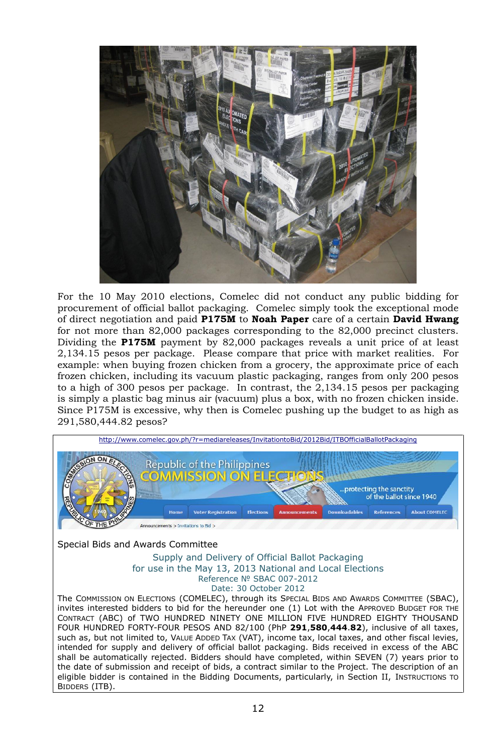![](_page_11_Picture_0.jpeg)

For the 10 May 2010 elections, Comelec did not conduct any public bidding for procurement of official ballot packaging. Comelec simply took the exceptional mode of direct negotiation and paid **P175M** to **Noah Paper** care of a certain **David Hwang** for not more than 82,000 packages corresponding to the 82,000 precinct clusters. Dividing the **P175M** payment by 82,000 packages reveals a unit price of at least 2,134.15 pesos per package. Please compare that price with market realities. For example: when buying frozen chicken from a grocery, the approximate price of each frozen chicken, including its vacuum plastic packaging, ranges from only 200 pesos to a high of 300 pesos per package. In contrast, the 2,134.15 pesos per packaging is simply a plastic bag minus air (vacuum) plus a box, with no frozen chicken inside. Since P175M is excessive, why then is Comelec pushing up the budget to as high as 291,580,444.82 pesos?

![](_page_11_Picture_2.jpeg)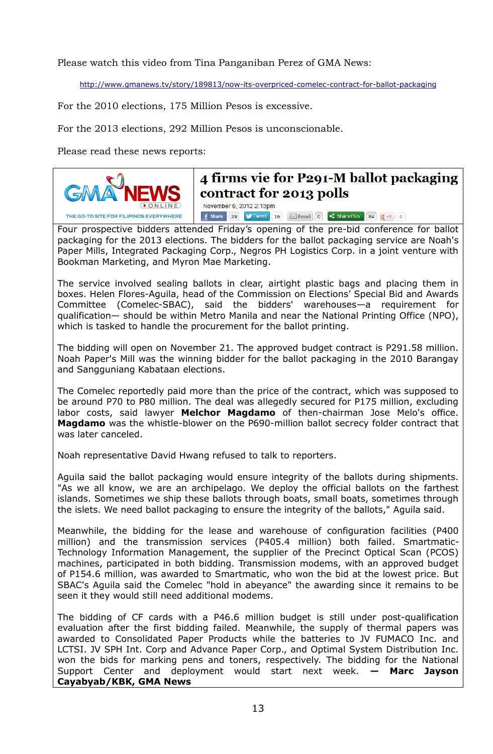Please watch this video from Tina Panganiban Perez of GMA News:

<http://www.gmanews.tv/story/189813/now-its-overpriced-comelec-contract-for-ballot-packaging>

For the 2010 elections, 175 Million Pesos is excessive.

For the 2013 elections, 292 Million Pesos is unconscionable.

Please read these news reports:

![](_page_12_Picture_5.jpeg)

# 4 firms vie for P291-M ballot packaging contract for 2013 polls November 9, 2012 2:13pm

**f** Share 29 **V** Tweet 16  $\boxtimes$  Email 10  $\leq$  Share This 84  $\boxed{Q + 1}$  0

Four prospective bidders attended Friday's opening of the pre-bid conference for ballot packaging for the 2013 elections. The bidders for the ballot packaging service are Noah's Paper Mills, Integrated Packaging Corp., Negros PH Logistics Corp. in a joint venture with Bookman Marketing, and Myron Mae Marketing.

The service involved sealing ballots in clear, airtight plastic bags and placing them in boxes. Helen Flores-Aguila, head of the Commission on Elections' Special Bid and Awards Committee (Comelec-SBAC), said the bidders' warehouses—a requirement for qualification— should be within Metro Manila and near the National Printing Office (NPO), which is tasked to handle the procurement for the ballot printing.

The bidding will open on November 21. The approved budget contract is P291.58 million. Noah Paper's Mill was the winning bidder for the ballot packaging in the 2010 Barangay and Sangguniang Kabataan elections.

The Comelec reportedly paid more than the price of the contract, which was supposed to be around P70 to P80 million. The deal was allegedly secured for P175 million, excluding labor costs, said lawyer **Melchor Magdamo** of then-chairman Jose Melo's office. **Magdamo** was the whistle-blower on the P690-million ballot secrecy folder contract that was later canceled.

Noah representative David Hwang refused to talk to reporters.

Aguila said the ballot packaging would ensure integrity of the ballots during shipments. "As we all know, we are an archipelago. We deploy the official ballots on the farthest islands. Sometimes we ship these ballots through boats, small boats, sometimes through the islets. We need ballot packaging to ensure the integrity of the ballots," Aguila said.

Meanwhile, the bidding for the lease and warehouse of configuration facilities (P400 million) and the transmission services (P405.4 million) both failed. Smartmatic-Technology Information Management, the supplier of the Precinct Optical Scan (PCOS) machines, participated in both bidding. Transmission modems, with an approved budget of P154.6 million, was awarded to Smartmatic, who won the bid at the lowest price. But SBAC's Aguila said the Comelec "hold in abeyance" the awarding since it remains to be seen it they would still need additional modems.

The bidding of CF cards with a P46.6 million budget is still under post-qualification evaluation after the first bidding failed. Meanwhile, the supply of thermal papers was awarded to Consolidated Paper Products while the batteries to JV FUMACO Inc. and LCTSI. JV SPH Int. Corp and Advance Paper Corp., and Optimal System Distribution Inc. won the bids for marking pens and toners, respectively. The bidding for the National Support Center and deployment would start next week. **— Marc Jayson Cayabyab/KBK, GMA News**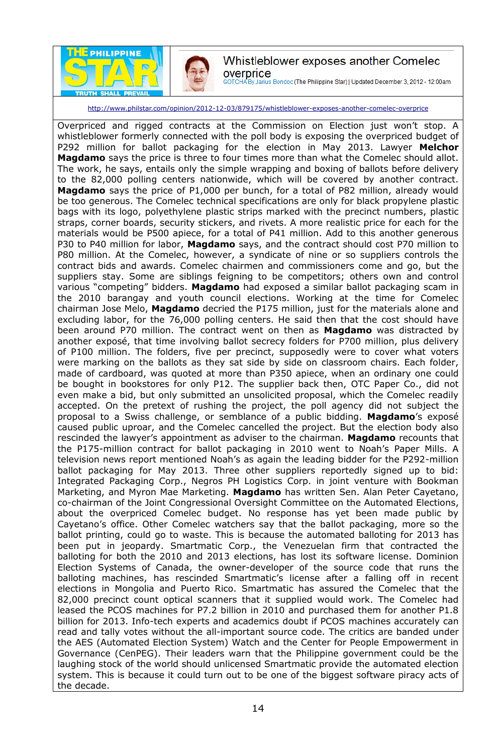![](_page_13_Picture_0.jpeg)

![](_page_13_Picture_1.jpeg)

# Whistleblower exposes another Comelec overprice

GOTCHA By Jarius Bondoc (The Philippine Star) | Updated December 3, 2012 - 12:00am

<http://www.philstar.com/opinion/2012-12-03/879175/whistleblower-exposes-another-comelec-overprice>

Overpriced and rigged contracts at the Commission on Election just won't stop. A whistleblower formerly connected with the poll body is exposing the overpriced budget of P292 million for ballot packaging for the election in May 2013. Lawyer **Melchor Magdamo** says the price is three to four times more than what the Comelec should allot. The work, he says, entails only the simple wrapping and boxing of ballots before delivery to the 82,000 polling centers nationwide, which will be covered by another contract. **Magdamo** says the price of P1,000 per bunch, for a total of P82 million, already would be too generous. The Comelec technical specifications are only for black propylene plastic bags with its logo, polyethylene plastic strips marked with the precinct numbers, plastic straps, corner boards, security stickers, and rivets. A more realistic price for each for the materials would be P500 apiece, for a total of P41 million. Add to this another generous P30 to P40 million for labor, **Magdamo** says, and the contract should cost P70 million to P80 million. At the Comelec, however, a syndicate of nine or so suppliers controls the contract bids and awards. Comelec chairmen and commissioners come and go, but the suppliers stay. Some are siblings feigning to be competitors; others own and control various "competing" bidders. **Magdamo** had exposed a similar ballot packaging scam in the 2010 barangay and youth council elections. Working at the time for Comelec chairman Jose Melo, **Magdamo** decried the P175 million, just for the materials alone and excluding labor, for the 76,000 polling centers. He said then that the cost should have been around P70 million. The contract went on then as **Magdamo** was distracted by another exposé, that time involving ballot secrecy folders for P700 million, plus delivery of P100 million. The folders, five per precinct, supposedly were to cover what voters were marking on the ballots as they sat side by side on classroom chairs. Each folder, made of cardboard, was quoted at more than P350 apiece, when an ordinary one could be bought in bookstores for only P12. The supplier back then, OTC Paper Co., did not even make a bid, but only submitted an unsolicited proposal, which the Comelec readily accepted. On the pretext of rushing the project, the poll agency did not subject the proposal to a Swiss challenge, or semblance of a public bidding. **Magdamo**'s exposé caused public uproar, and the Comelec cancelled the project. But the election body also rescinded the lawyer's appointment as adviser to the chairman. **Magdamo** recounts that the P175-million contract for ballot packaging in 2010 went to Noah's Paper Mills. A television news report mentioned Noah's as again the leading bidder for the P292-million ballot packaging for May 2013. Three other suppliers reportedly signed up to bid: Integrated Packaging Corp., Negros PH Logistics Corp. in joint venture with Bookman Marketing, and Myron Mae Marketing. **Magdamo** has written Sen. Alan Peter Cayetano, co-chairman of the Joint Congressional Oversight Committee on the Automated Elections, about the overpriced Comelec budget. No response has yet been made public by Cayetano's office. Other Comelec watchers say that the ballot packaging, more so the ballot printing, could go to waste. This is because the automated balloting for 2013 has been put in jeopardy. Smartmatic Corp., the Venezuelan firm that contracted the balloting for both the 2010 and 2013 elections, has lost its software license. Dominion Election Systems of Canada, the owner-developer of the source code that runs the balloting machines, has rescinded Smartmatic's license after a falling off in recent elections in Mongolia and Puerto Rico. Smartmatic has assured the Comelec that the 82,000 precinct count optical scanners that it supplied would work. The Comelec had leased the PCOS machines for P7.2 billion in 2010 and purchased them for another P1.8 billion for 2013. Info-tech experts and academics doubt if PCOS machines accurately can read and tally votes without the all-important source code. The critics are banded under the AES (Automated Election System) Watch and the Center for People Empowerment in Governance (CenPEG). Their leaders warn that the Philippine government could be the laughing stock of the world should unlicensed Smartmatic provide the automated election system. This is because it could turn out to be one of the biggest software piracy acts of the decade.